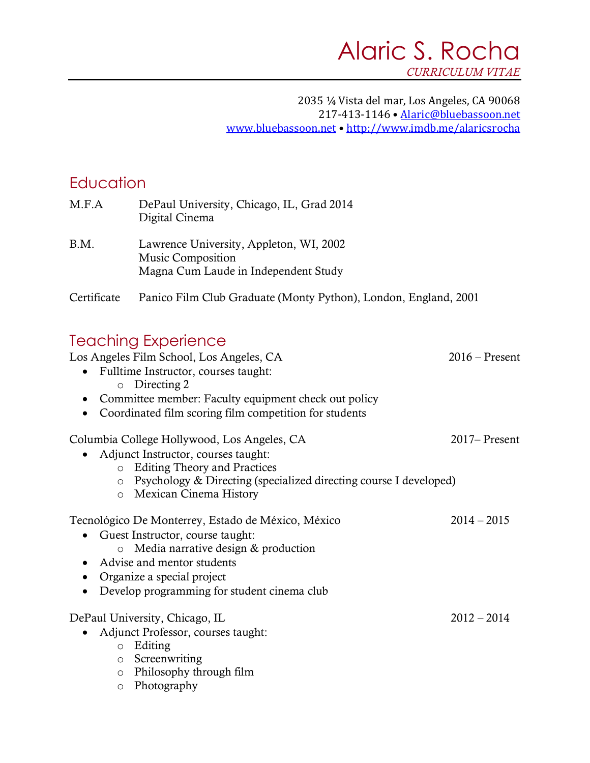#### 2035 ¼ Vista del mar, Los Angeles, CA 90068 217-413-1146 · Alaric@bluebassoon.net www.bluebassoon.net • http://www.imdb.me/alaricsrocha

### **Education**

| M.F.A       | DePaul University, Chicago, IL, Grad 2014<br>Digital Cinema                                                 |
|-------------|-------------------------------------------------------------------------------------------------------------|
| B.M.        | Lawrence University, Appleton, WI, 2002<br><b>Music Composition</b><br>Magna Cum Laude in Independent Study |
| Certificate | Panico Film Club Graduate (Monty Python), London, England, 2001                                             |

### Teaching Experience

Los Angeles Film School, Los Angeles, CA 2016 – Present • Fulltime Instructor, courses taught: o Directing 2 • Committee member: Faculty equipment check out policy • Coordinated film scoring film competition for students Columbia College Hollywood, Los Angeles, CA 2017– Present • Adjunct Instructor, courses taught: o Editing Theory and Practices o Psychology & Directing (specialized directing course I developed) o Mexican Cinema History Tecnológico De Monterrey, Estado de México, México 2014 – 2015 • Guest Instructor, course taught: o Media narrative design & production • Advise and mentor students • Organize a special project • Develop programming for student cinema club DePaul University, Chicago, IL 2012 – 2014 • Adjunct Professor, courses taught: o Editing

o Screenwriting

o Philosophy through film

o Photography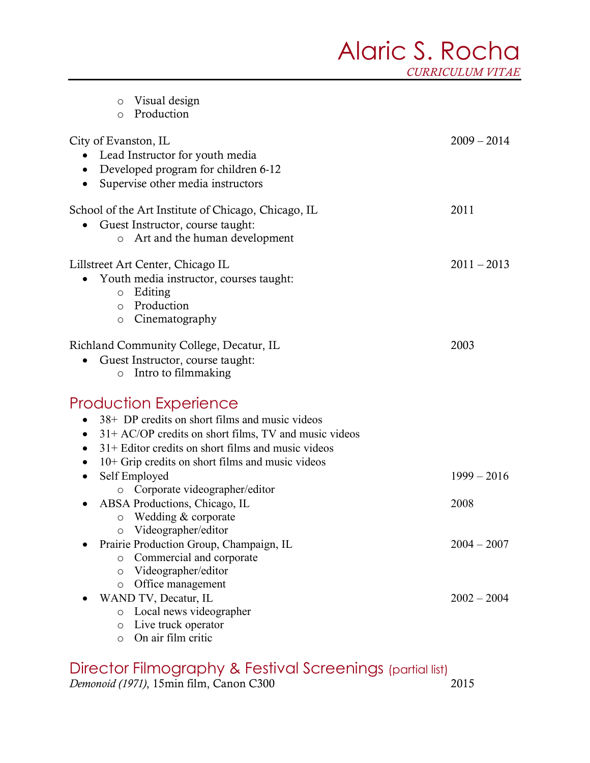# Alaric S. Rocha

*CURRICULUM VITAE*

| Visual design<br>O<br>Production<br>$\circ$                                                                                                                                                                                                                                                                                                                                                                                                                                                                                                                                             |                                                         |
|-----------------------------------------------------------------------------------------------------------------------------------------------------------------------------------------------------------------------------------------------------------------------------------------------------------------------------------------------------------------------------------------------------------------------------------------------------------------------------------------------------------------------------------------------------------------------------------------|---------------------------------------------------------|
| City of Evanston, IL<br>Lead Instructor for youth media<br>Developed program for children 6-12<br>Supervise other media instructors                                                                                                                                                                                                                                                                                                                                                                                                                                                     | $2009 - 2014$                                           |
| School of the Art Institute of Chicago, Chicago, IL<br>Guest Instructor, course taught:<br>Art and the human development<br>$\circ$                                                                                                                                                                                                                                                                                                                                                                                                                                                     | 2011                                                    |
| Lillstreet Art Center, Chicago IL<br>Youth media instructor, courses taught:<br>Editing<br>$\circ$<br>Production<br>$\circ$<br>Cinematography<br>$\circ$                                                                                                                                                                                                                                                                                                                                                                                                                                | $2011 - 2013$                                           |
| Richland Community College, Decatur, IL<br>Guest Instructor, course taught:<br>Intro to filmmaking<br>$\circ$                                                                                                                                                                                                                                                                                                                                                                                                                                                                           | 2003                                                    |
| <b>Production Experience</b><br>38+ DP credits on short films and music videos<br>$31+AC/OP$ credits on short films, TV and music videos<br>$31 +$ Editor credits on short films and music videos<br>10+ Grip credits on short films and music videos<br>Self Employed<br>Corporate videographer/editor<br>O<br>ABSA Productions, Chicago, IL<br>Wedding & corporate<br>$\circ$<br>Videographer/editor<br>O<br>Prairie Production Group, Champaign, IL<br>Commercial and corporate<br>$\circ$<br>Videographer/editor<br>$\circ$<br>Office management<br>$\circ$<br>WAND TV, Decatur, IL | $1999 - 2016$<br>2008<br>$2004 - 2007$<br>$2002 - 2004$ |
| Local news videographer<br>$\circ$<br>Live truck operator<br>$\circ$<br>On air film critic<br>$\circ$                                                                                                                                                                                                                                                                                                                                                                                                                                                                                   |                                                         |
| Director Filmoaraphy & Festival Screenings (partial list)                                                                                                                                                                                                                                                                                                                                                                                                                                                                                                                               |                                                         |

Director Filmography & Festival Screenings (partial list) *Demonoid (1971)*, 15min film, Canon C300 2015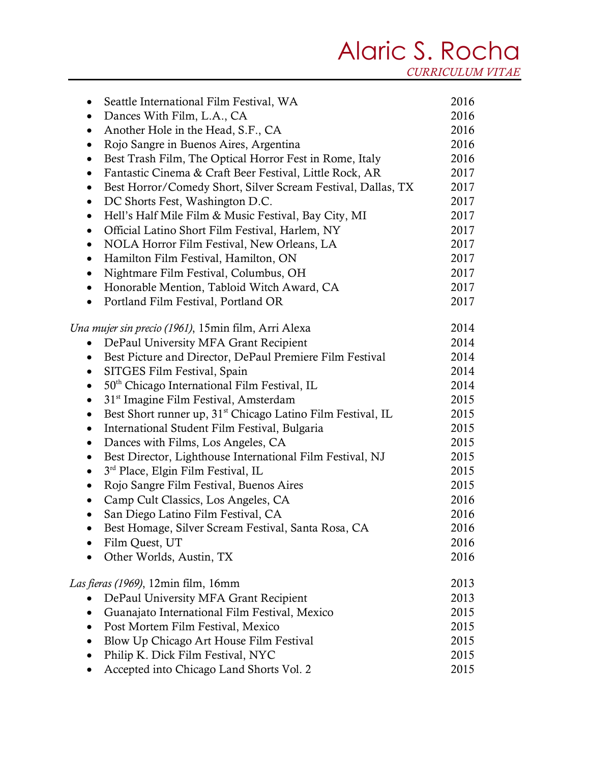## Alaric S. Rocha

*CURRICULUM VITAE*

| Seattle International Film Festival, WA<br>$\bullet$                                 | 2016 |
|--------------------------------------------------------------------------------------|------|
| Dances With Film, L.A., CA<br>$\bullet$                                              | 2016 |
| Another Hole in the Head, S.F., CA<br>$\bullet$                                      | 2016 |
| Rojo Sangre in Buenos Aires, Argentina<br>$\bullet$                                  | 2016 |
| Best Trash Film, The Optical Horror Fest in Rome, Italy<br>$\bullet$                 | 2016 |
| Fantastic Cinema & Craft Beer Festival, Little Rock, AR<br>$\bullet$                 | 2017 |
| Best Horror/Comedy Short, Silver Scream Festival, Dallas, TX<br>$\bullet$            | 2017 |
| DC Shorts Fest, Washington D.C.<br>$\bullet$                                         | 2017 |
| Hell's Half Mile Film & Music Festival, Bay City, MI<br>$\bullet$                    | 2017 |
| Official Latino Short Film Festival, Harlem, NY<br>$\bullet$                         | 2017 |
| NOLA Horror Film Festival, New Orleans, LA<br>$\bullet$                              | 2017 |
| Hamilton Film Festival, Hamilton, ON<br>$\bullet$                                    | 2017 |
| Nightmare Film Festival, Columbus, OH<br>$\bullet$                                   | 2017 |
| Honorable Mention, Tabloid Witch Award, CA<br>$\bullet$                              | 2017 |
| Portland Film Festival, Portland OR                                                  | 2017 |
| Una mujer sin precio (1961), 15min film, Arri Alexa                                  | 2014 |
| DePaul University MFA Grant Recipient<br>$\bullet$                                   | 2014 |
| Best Picture and Director, DePaul Premiere Film Festival<br>$\bullet$                | 2014 |
| SITGES Film Festival, Spain<br>$\bullet$                                             | 2014 |
| 50 <sup>th</sup> Chicago International Film Festival, IL<br>$\bullet$                | 2014 |
| 31 <sup>st</sup> Imagine Film Festival, Amsterdam<br>$\bullet$                       | 2015 |
| Best Short runner up, 31 <sup>st</sup> Chicago Latino Film Festival, IL<br>$\bullet$ | 2015 |
| International Student Film Festival, Bulgaria<br>$\bullet$                           | 2015 |
| Dances with Films, Los Angeles, CA<br>$\bullet$                                      | 2015 |
| Best Director, Lighthouse International Film Festival, NJ<br>$\bullet$               | 2015 |
| 3 <sup>rd</sup> Place, Elgin Film Festival, IL                                       | 2015 |
| Rojo Sangre Film Festival, Buenos Aires                                              | 2015 |
| Camp Cult Classics, Los Angeles, CA                                                  | 2016 |
| San Diego Latino Film Festival, CA                                                   | 2016 |
| Best Homage, Silver Scream Festival, Santa Rosa, CA                                  | 2016 |
| Film Quest, UT                                                                       | 2016 |
| Other Worlds, Austin, TX                                                             | 2016 |
| <i>Las fieras (1969), 12min film, 16mm</i>                                           | 2013 |
| DePaul University MFA Grant Recipient                                                | 2013 |
| Guanajato International Film Festival, Mexico<br>$\bullet$                           | 2015 |
| Post Mortem Film Festival, Mexico                                                    | 2015 |
| Blow Up Chicago Art House Film Festival<br>$\bullet$                                 | 2015 |
| Philip K. Dick Film Festival, NYC                                                    | 2015 |
| Accepted into Chicago Land Shorts Vol. 2                                             | 2015 |